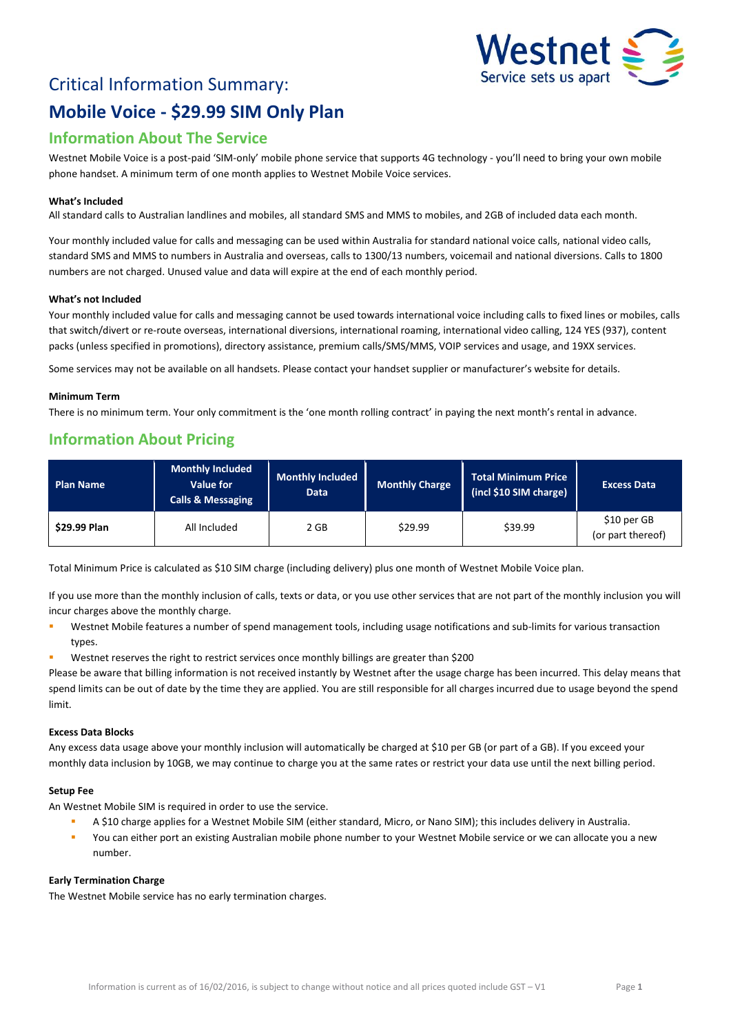# Critical Information Summary: **Mobile Voice - \$29.99 SIM Only Plan**



# **Information About The Service**

Westnet Mobile Voice is a post-paid 'SIM-only' mobile phone service that supports 4G technology - you'll need to bring your own mobile phone handset. A minimum term of one month applies to Westnet Mobile Voice services.

### **What's Included**

All standard calls to Australian landlines and mobiles, all standard SMS and MMS to mobiles, and 2GB of included data each month.

Your monthly included value for calls and messaging can be used within Australia for standard national voice calls, national video calls, standard SMS and MMS to numbers in Australia and overseas, calls to 1300/13 numbers, voicemail and national diversions. Calls to 1800 numbers are not charged. Unused value and data will expire at the end of each monthly period.

### **What's not Included**

Your monthly included value for calls and messaging cannot be used towards international voice including calls to fixed lines or mobiles, calls that switch/divert or re-route overseas, international diversions, international roaming, international video calling, 124 YES (937), content packs (unless specified in promotions), directory assistance, premium calls/SMS/MMS, VOIP services and usage, and 19XX services.

Some services may not be available on all handsets. Please contact your handset supplier or manufacturer's website for details.

### **Minimum Term**

There is no minimum term. Your only commitment is the 'one month rolling contract' in paying the next month's rental in advance.

# **Information About Pricing**

| <b>Plan Name</b>    | <b>Monthly Included</b><br>Value for<br><b>Calls &amp; Messaging</b> | <b>Monthly Included</b><br>Data | <b>Monthly Charge</b> | Total Minimum Price<br>(incl \$10 SIM charge) | <b>Excess Data</b>               |
|---------------------|----------------------------------------------------------------------|---------------------------------|-----------------------|-----------------------------------------------|----------------------------------|
| <b>\$29.99 Plan</b> | All Included                                                         | 2 GB                            | \$29.99               | \$39.99                                       | \$10 per GB<br>(or part thereof) |

Total Minimum Price is calculated as \$10 SIM charge (including delivery) plus one month of Westnet Mobile Voice plan.

If you use more than the monthly inclusion of calls, texts or data, or you use other services that are not part of the monthly inclusion you will incur charges above the monthly charge.

- Westnet Mobile features a number of spend management tools, including usage notifications and sub-limits for various transaction types.
- Westnet reserves the right to restrict services once monthly billings are greater than \$200

Please be aware that billing information is not received instantly by Westnet after the usage charge has been incurred. This delay means that spend limits can be out of date by the time they are applied. You are still responsible for all charges incurred due to usage beyond the spend limit.

# **Excess Data Blocks**

Any excess data usage above your monthly inclusion will automatically be charged at \$10 per GB (or part of a GB). If you exceed your monthly data inclusion by 10GB, we may continue to charge you at the same rates or restrict your data use until the next billing period.

### **Setup Fee**

An Westnet Mobile SIM is required in order to use the service.

- A \$10 charge applies for a Westnet Mobile SIM (either standard, Micro, or Nano SIM); this includes delivery in Australia.
- You can either port an existing Australian mobile phone number to your Westnet Mobile service or we can allocate you a new number.

### **Early Termination Charge**

The Westnet Mobile service has no early termination charges.